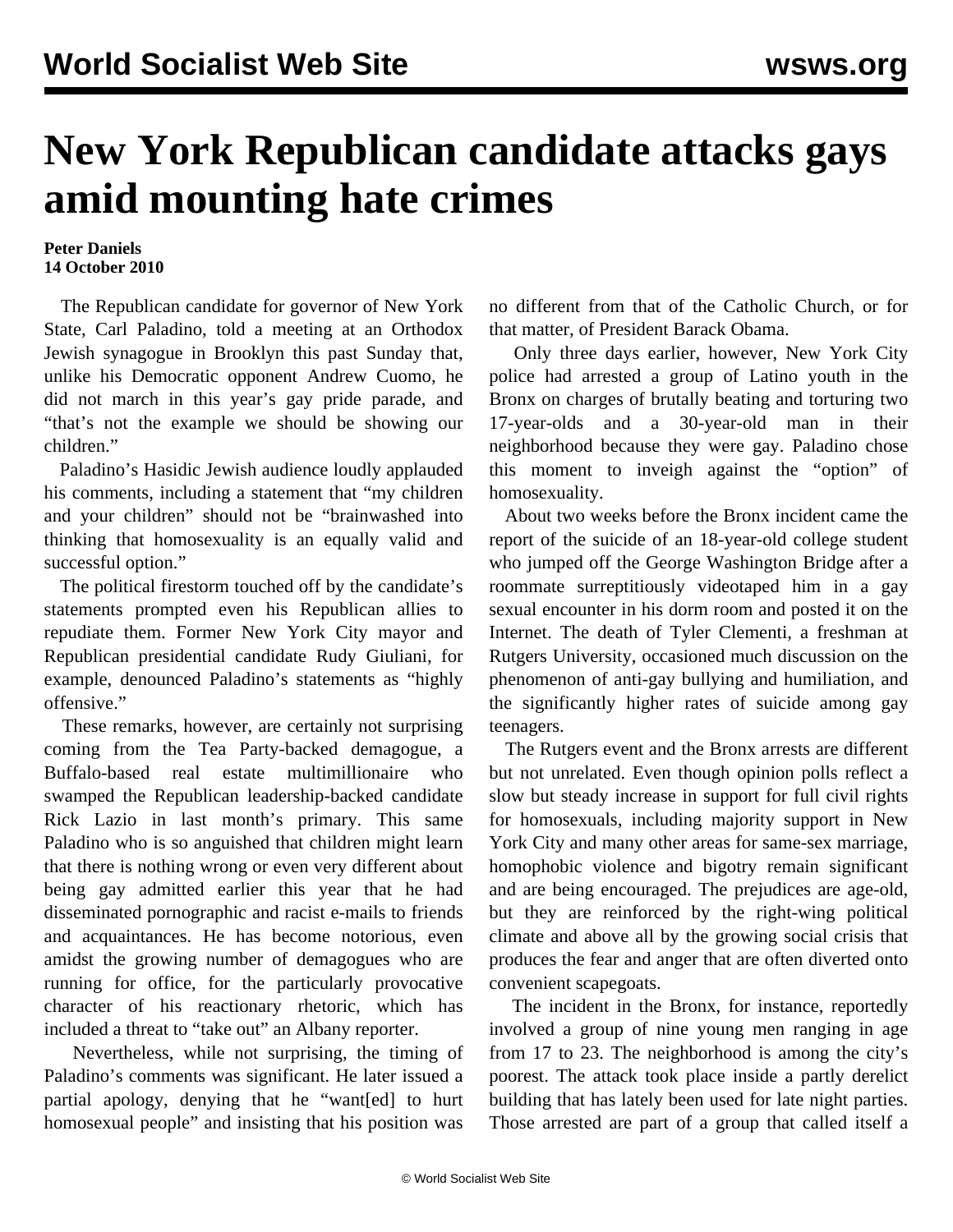## **New York Republican candidate attacks gays amid mounting hate crimes**

## **Peter Daniels 14 October 2010**

 The Republican candidate for governor of New York State, Carl Paladino, told a meeting at an Orthodox Jewish synagogue in Brooklyn this past Sunday that, unlike his Democratic opponent Andrew Cuomo, he did not march in this year's gay pride parade, and "that's not the example we should be showing our children."

 Paladino's Hasidic Jewish audience loudly applauded his comments, including a statement that "my children and your children" should not be "brainwashed into thinking that homosexuality is an equally valid and successful option."

 The political firestorm touched off by the candidate's statements prompted even his Republican allies to repudiate them. Former New York City mayor and Republican presidential candidate Rudy Giuliani, for example, denounced Paladino's statements as "highly offensive."

 These remarks, however, are certainly not surprising coming from the Tea Party-backed demagogue, a Buffalo-based real estate multimillionaire who swamped the Republican leadership-backed candidate Rick Lazio in last month's primary. This same Paladino who is so anguished that children might learn that there is nothing wrong or even very different about being gay admitted earlier this year that he had disseminated pornographic and racist e-mails to friends and acquaintances. He has become notorious, even amidst the growing number of demagogues who are running for office, for the particularly provocative character of his reactionary rhetoric, which has included a threat to "take out" an Albany reporter.

 Nevertheless, while not surprising, the timing of Paladino's comments was significant. He later issued a partial apology, denying that he "want[ed] to hurt homosexual people" and insisting that his position was

no different from that of the Catholic Church, or for that matter, of President Barack Obama.

 Only three days earlier, however, New York City police had arrested a group of Latino youth in the Bronx on charges of brutally beating and torturing two 17-year-olds and a 30-year-old man in their neighborhood because they were gay. Paladino chose this moment to inveigh against the "option" of homosexuality.

 About two weeks before the Bronx incident came the report of the suicide of an 18-year-old college student who jumped off the George Washington Bridge after a roommate surreptitiously videotaped him in a gay sexual encounter in his dorm room and posted it on the Internet. The death of Tyler Clementi, a freshman at Rutgers University, occasioned much discussion on the phenomenon of anti-gay bullying and humiliation, and the significantly higher rates of suicide among gay teenagers.

 The Rutgers event and the Bronx arrests are different but not unrelated. Even though opinion polls reflect a slow but steady increase in support for full civil rights for homosexuals, including majority support in New York City and many other areas for same-sex marriage, homophobic violence and bigotry remain significant and are being encouraged. The prejudices are age-old, but they are reinforced by the right-wing political climate and above all by the growing social crisis that produces the fear and anger that are often diverted onto convenient scapegoats.

 The incident in the Bronx, for instance, reportedly involved a group of nine young men ranging in age from 17 to 23. The neighborhood is among the city's poorest. The attack took place inside a partly derelict building that has lately been used for late night parties. Those arrested are part of a group that called itself a